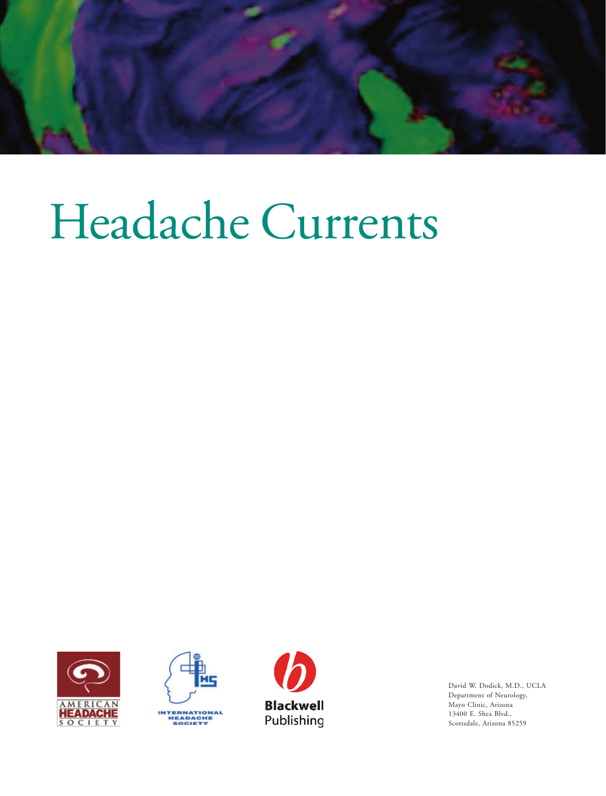

# Headache Currents







David W. Dodick, M.D., UCLA Department of Neurology, Mayo Clinic, Arizona 13400 E. Shea Blvd., Scottsdale, Arizona 85259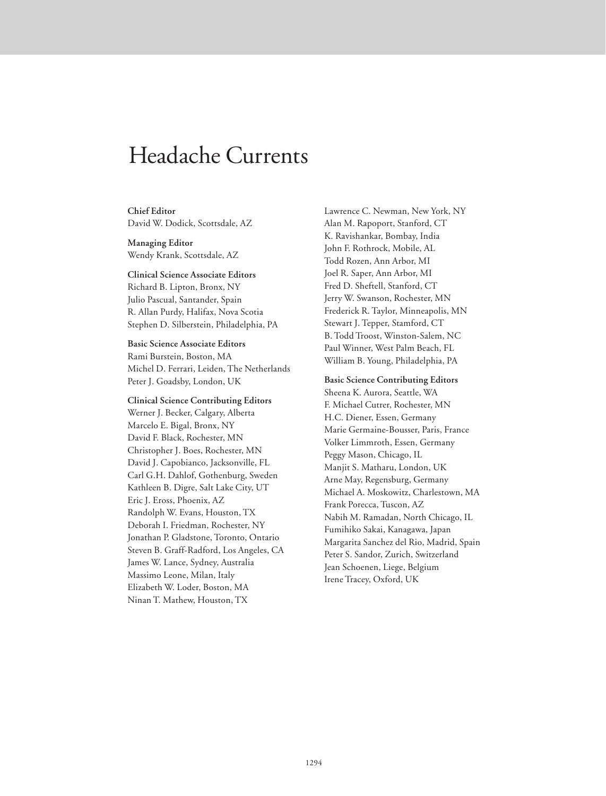# Headache Currents

**Chief Editor** David W. Dodick, Scottsdale, AZ

**Managing Editor** Wendy Krank, Scottsdale, AZ

**Clinical Science Associate Editors** Richard B. Lipton, Bronx, NY Julio Pascual, Santander, Spain R. Allan Purdy, Halifax, Nova Scotia Stephen D. Silberstein, Philadelphia, PA

**Basic Science Associate Editors** Rami Burstein, Boston, MA Michel D. Ferrari, Leiden, The Netherlands Peter J. Goadsby, London, UK

**Clinical Science Contributing Editors** Werner J. Becker, Calgary, Alberta Marcelo E. Bigal, Bronx, NY David F. Black, Rochester, MN Christopher J. Boes, Rochester, MN David J. Capobianco, Jacksonville, FL Carl G.H. Dahlof, Gothenburg, Sweden Kathleen B. Digre, Salt Lake City, UT Eric J. Eross, Phoenix, AZ Randolph W. Evans, Houston, TX Deborah I. Friedman, Rochester, NY Jonathan P. Gladstone, Toronto, Ontario Steven B. Graff-Radford, Los Angeles, CA James W. Lance, Sydney, Australia Massimo Leone, Milan, Italy Elizabeth W. Loder, Boston, MA Ninan T. Mathew, Houston, TX

Lawrence C. Newman, New York, NY Alan M. Rapoport, Stanford, CT K. Ravishankar, Bombay, India John F. Rothrock, Mobile, AL Todd Rozen, Ann Arbor, MI Joel R. Saper, Ann Arbor, MI Fred D. Sheftell, Stanford, CT Jerry W. Swanson, Rochester, MN Frederick R. Taylor, Minneapolis, MN Stewart J. Tepper, Stamford, CT B. Todd Troost, Winston-Salem, NC Paul Winner, West Palm Beach, FL William B. Young, Philadelphia, PA

**Basic Science Contributing Editors** Sheena K. Aurora, Seattle, WA F. Michael Cutrer, Rochester, MN H.C. Diener, Essen, Germany Marie Germaine-Bousser, Paris, France Volker Limmroth, Essen, Germany Peggy Mason, Chicago, IL Manjit S. Matharu, London, UK Arne May, Regensburg, Germany Michael A. Moskowitz, Charlestown, MA Frank Porecca, Tuscon, AZ Nabih M. Ramadan, North Chicago, IL Fumihiko Sakai, Kanagawa, Japan Margarita Sanchez del Rio, Madrid, Spain Peter S. Sandor, Zurich, Switzerland Jean Schoenen, Liege, Belgium Irene Tracey, Oxford, UK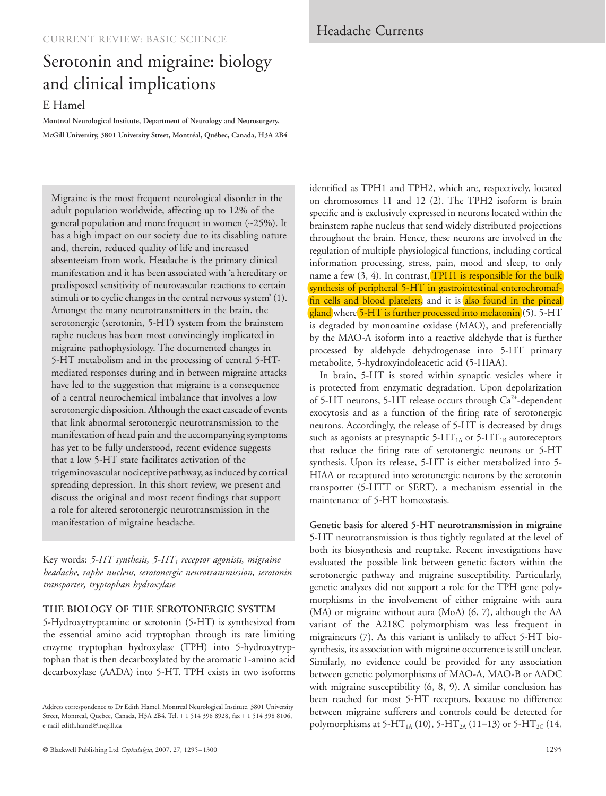# Serotonin and migraine: biology and clinical implications

## E Hamel

**Montreal Neurological Institute, Department of Neurology and Neurosurgery, McGill University, 3801 University Street, Montréal, Québec, Canada, H3A 2B4**

Migraine is the most frequent neurological disorder in the adult population worldwide, affecting up to 12% of the general population and more frequent in women (∼25%). It has a high impact on our society due to its disabling nature and, therein, reduced quality of life and increased absenteeism from work. Headache is the primary clinical manifestation and it has been associated with 'a hereditary or predisposed sensitivity of neurovascular reactions to certain stimuli or to cyclic changes in the central nervous system' (1). Amongst the many neurotransmitters in the brain, the serotonergic (serotonin, 5-HT) system from the brainstem raphe nucleus has been most convincingly implicated in migraine pathophysiology. The documented changes in 5-HT metabolism and in the processing of central 5-HTmediated responses during and in between migraine attacks have led to the suggestion that migraine is a consequence of a central neurochemical imbalance that involves a low serotonergic disposition. Although the exact cascade of events that link abnormal serotonergic neurotransmission to the manifestation of head pain and the accompanying symptoms has yet to be fully understood, recent evidence suggests that a low 5-HT state facilitates activation of the trigeminovascular nociceptive pathway, as induced by cortical spreading depression. In this short review, we present and discuss the original and most recent findings that support a role for altered serotonergic neurotransmission in the manifestation of migraine headache.

Key words: *5-HT synthesis, 5-HT1 receptor agonists, migraine headache, raphe nucleus, serotonergic neurotransmission, serotonin transporter, tryptophan hydroxylase*

#### **THE BIOLOGY OF THE SEROTONERGIC SYSTEM**

5-Hydroxytryptamine or serotonin (5-HT) is synthesized from the essential amino acid tryptophan through its rate limiting enzyme tryptophan hydroxylase (TPH) into 5-hydroxytryptophan that is then decarboxylated by the aromatic L-amino acid decarboxylase (AADA) into 5-HT. TPH exists in two isoforms

Address correspondence to Dr Edith Hamel, Montreal Neurological Institute, 3801 University Street, Montreal, Quebec, Canada, H3A 2B4. Tel. + 1 514 398 8928, fax + 1 514 398 8106, e-mail edith.hamel@mcgill.ca

identified as TPH1 and TPH2, which are, respectively, located on chromosomes 11 and 12 (2). The TPH2 isoform is brain specific and is exclusively expressed in neurons located within the brainstem raphe nucleus that send widely distributed projections throughout the brain. Hence, these neurons are involved in the regulation of multiple physiological functions, including cortical information processing, stress, pain, mood and sleep, to only name a few  $(3, 4)$ . In contrast, TPH1 is responsible for the bulk synthesis of peripheral 5-HT in gastrointestinal enterochromaffin cells and blood platelets, and it is also found in the pineal gland where 5-HT is further processed into melatonin (5). 5-HT is degraded by monoamine oxidase (MAO), and preferentially by the MAO-A isoform into a reactive aldehyde that is further processed by aldehyde dehydrogenase into 5-HT primary metabolite, 5-hydroxyindoleacetic acid (5-HIAA).

In brain, 5-HT is stored within synaptic vesicles where it is protected from enzymatic degradation. Upon depolarization of 5-HT neurons, 5-HT release occurs through Ca<sup>2+</sup>-dependent exocytosis and as a function of the firing rate of serotonergic neurons. Accordingly, the release of 5-HT is decreased by drugs such as agonists at presynaptic 5-HT<sub>1A</sub> or 5-HT<sub>1B</sub> autoreceptors that reduce the firing rate of serotonergic neurons or 5-HT synthesis. Upon its release, 5-HT is either metabolized into 5- HIAA or recaptured into serotonergic neurons by the serotonin transporter (5-HTT or SERT), a mechanism essential in the maintenance of 5-HT homeostasis.

**Genetic basis for altered 5-HT neurotransmission in migraine** 5-HT neurotransmission is thus tightly regulated at the level of both its biosynthesis and reuptake. Recent investigations have evaluated the possible link between genetic factors within the serotonergic pathway and migraine susceptibility. Particularly, genetic analyses did not support a role for the TPH gene polymorphisms in the involvement of either migraine with aura (MA) or migraine without aura (MoA) (6, 7), although the AA variant of the A218C polymorphism was less frequent in migraineurs (7). As this variant is unlikely to affect 5-HT biosynthesis, its association with migraine occurrence is still unclear. Similarly, no evidence could be provided for any association between genetic polymorphisms of MAO-A, MAO-B or AADC with migraine susceptibility  $(6, 8, 9)$ . A similar conclusion has been reached for most 5-HT receptors, because no difference between migraine sufferers and controls could be detected for polymorphisms at 5-HT<sub>1A</sub> (10), 5-HT<sub>2A</sub> (11–13) or 5-HT<sub>2C</sub> (14,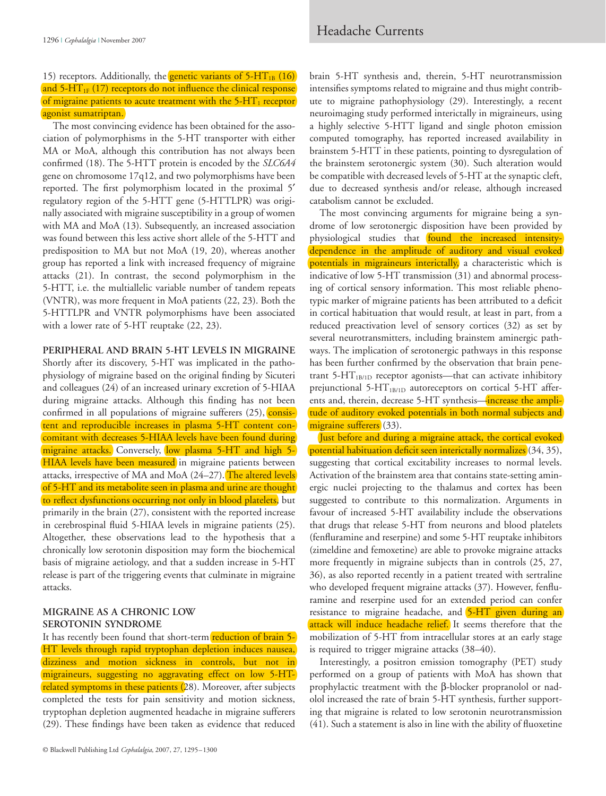### 15) receptors. Additionally, the **genetic variants of 5-HT**<sub>1B</sub> (16) and  $5-\text{HT}_{1F}$  (17) receptors do not influence the clinical response of migraine patients to acute treatment with the  $5-HT_1$  receptor agonist sumatriptan.

The most convincing evidence has been obtained for the association of polymorphisms in the 5-HT transporter with either MA or MoA, although this contribution has not always been confirmed (18). The 5-HTT protein is encoded by the *SLC6A4* gene on chromosome 17q12, and two polymorphisms have been reported. The first polymorphism located in the proximal 5′ regulatory region of the 5-HTT gene (5-HTTLPR) was originally associated with migraine susceptibility in a group of women with MA and MoA (13). Subsequently, an increased association was found between this less active short allele of the 5-HTT and predisposition to MA but not MoA (19, 20), whereas another group has reported a link with increased frequency of migraine attacks (21). In contrast, the second polymorphism in the 5-HTT, i.e. the multiallelic variable number of tandem repeats (VNTR), was more frequent in MoA patients (22, 23). Both the 5-HTTLPR and VNTR polymorphisms have been associated with a lower rate of 5-HT reuptake (22, 23).

**PERIPHERAL AND BRAIN 5-HT LEVELS IN MIGRAINE**

Shortly after its discovery, 5-HT was implicated in the pathophysiology of migraine based on the original finding by Sicuteri and colleagues (24) of an increased urinary excretion of 5-HIAA during migraine attacks. Although this finding has not been confirmed in all populations of migraine sufferers (25), consistent and reproducible increases in plasma 5-HT content concomitant with decreases 5-HIAA levels have been found during migraine attacks. Conversely, low plasma 5-HT and high 5-HIAA levels have been measured in migraine patients between attacks, irrespective of MA and MoA (24–27). The altered levels of 5-HT and its metabolite seen in plasma and urine are thought to reflect dysfunctions occurring not only in blood platelets, but primarily in the brain (27), consistent with the reported increase in cerebrospinal fluid 5-HIAA levels in migraine patients (25). Altogether, these observations lead to the hypothesis that a chronically low serotonin disposition may form the biochemical basis of migraine aetiology, and that a sudden increase in 5-HT release is part of the triggering events that culminate in migraine attacks.

#### **MIGRAINE AS A CHRONIC LOW SEROTONIN SYNDROME**

It has recently been found that short-term reduction of brain 5-HT levels through rapid tryptophan depletion induces nausea, dizziness and motion sickness in controls, but not in migraineurs, suggesting no aggravating effect on low 5-HTrelated symptoms in these patients (28). Moreover, after subjects completed the tests for pain sensitivity and motion sickness, tryptophan depletion augmented headache in migraine sufferers (29). These findings have been taken as evidence that reduced

brain 5-HT synthesis and, therein, 5-HT neurotransmission intensifies symptoms related to migraine and thus might contribute to migraine pathophysiology (29). Interestingly, a recent neuroimaging study performed interictally in migraineurs, using a highly selective 5-HTT ligand and single photon emission computed tomography, has reported increased availability in brainstem 5-HTT in these patients, pointing to dysregulation of the brainstem serotonergic system (30). Such alteration would be compatible with decreased levels of 5-HT at the synaptic cleft, due to decreased synthesis and/or release, although increased catabolism cannot be excluded.

The most convincing arguments for migraine being a syndrome of low serotonergic disposition have been provided by physiological studies that found the increased intensitydependence in the amplitude of auditory and visual evoked potentials in migraineurs interictally, a characteristic which is indicative of low 5-HT transmission (31) and abnormal processing of cortical sensory information. This most reliable phenotypic marker of migraine patients has been attributed to a deficit in cortical habituation that would result, at least in part, from a reduced preactivation level of sensory cortices (32) as set by several neurotransmitters, including brainstem aminergic pathways. The implication of serotonergic pathways in this response has been further confirmed by the observation that brain penetrant  $5-HT<sub>1B/1D</sub>$  receptor agonists—that can activate inhibitory prejunctional 5-HT<sub>1B/1D</sub> autoreceptors on cortical 5-HT afferents and, therein, decrease 5-HT synthesis—increase the amplitude of auditory evoked potentials in both normal subjects and migraine sufferers (33).

Just before and during a migraine attack, the cortical evoked potential habituation deficit seen interictally normalizes (34, 35), suggesting that cortical excitability increases to normal levels. Activation of the brainstem area that contains state-setting aminergic nuclei projecting to the thalamus and cortex has been suggested to contribute to this normalization. Arguments in favour of increased 5-HT availability include the observations that drugs that release 5-HT from neurons and blood platelets (fenfluramine and reserpine) and some 5-HT reuptake inhibitors (zimeldine and femoxetine) are able to provoke migraine attacks more frequently in migraine subjects than in controls (25, 27, 36), as also reported recently in a patient treated with sertraline who developed frequent migraine attacks (37). However, fenfluramine and reserpine used for an extended period can confer resistance to migraine headache, and 5-HT given during an attack will induce headache relief. It seems therefore that the mobilization of 5-HT from intracellular stores at an early stage is required to trigger migraine attacks (38–40).

Interestingly, a positron emission tomography (PET) study performed on a group of patients with MoA has shown that prophylactic treatment with the β-blocker propranolol or nadolol increased the rate of brain 5-HT synthesis, further supporting that migraine is related to low serotonin neurotransmission (41). Such a statement is also in line with the ability of fluoxetine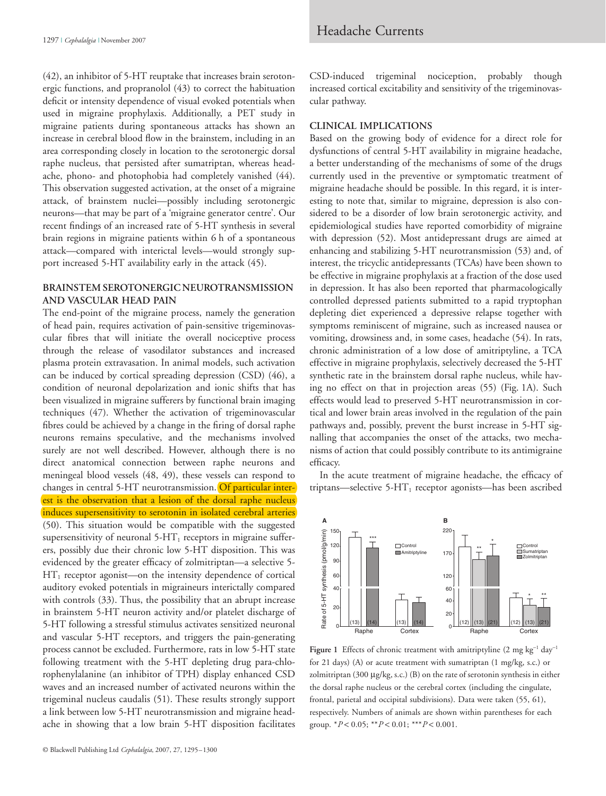(42), an inhibitor of 5-HT reuptake that increases brain serotonergic functions, and propranolol (43) to correct the habituation deficit or intensity dependence of visual evoked potentials when used in migraine prophylaxis. Additionally, a PET study in migraine patients during spontaneous attacks has shown an increase in cerebral blood flow in the brainstem, including in an area corresponding closely in location to the serotonergic dorsal raphe nucleus, that persisted after sumatriptan, whereas headache, phono- and photophobia had completely vanished (44). This observation suggested activation, at the onset of a migraine attack, of brainstem nuclei—possibly including serotonergic neurons—that may be part of a 'migraine generator centre'. Our recent findings of an increased rate of 5-HT synthesis in several brain regions in migraine patients within 6 h of a spontaneous attack—compared with interictal levels—would strongly support increased 5-HT availability early in the attack (45).

#### **BRAINSTEM SEROTONERGIC NEUROTRANSMISSION AND VASCULAR HEAD PAIN**

The end-point of the migraine process, namely the generation of head pain, requires activation of pain-sensitive trigeminovascular fibres that will initiate the overall nociceptive process through the release of vasodilator substances and increased plasma protein extravasation. In animal models, such activation can be induced by cortical spreading depression (CSD) (46), a condition of neuronal depolarization and ionic shifts that has been visualized in migraine sufferers by functional brain imaging techniques (47). Whether the activation of trigeminovascular fibres could be achieved by a change in the firing of dorsal raphe neurons remains speculative, and the mechanisms involved surely are not well described. However, although there is no direct anatomical connection between raphe neurons and meningeal blood vessels (48, 49), these vessels can respond to changes in central 5-HT neurotransmission. Of particular interest is the observation that a lesion of the dorsal raphe nucleus induces supersensitivity to serotonin in isolated cerebral arteries (50). This situation would be compatible with the suggested supersensitivity of neuronal  $5-HT_1$  receptors in migraine sufferers, possibly due their chronic low 5-HT disposition. This was evidenced by the greater efficacy of zolmitriptan—a selective 5-  $HT_1$  receptor agonist—on the intensity dependence of cortical auditory evoked potentials in migraineurs interictally compared with controls (33). Thus, the possibility that an abrupt increase in brainstem 5-HT neuron activity and/or platelet discharge of 5-HT following a stressful stimulus activates sensitized neuronal and vascular 5-HT receptors, and triggers the pain-generating process cannot be excluded. Furthermore, rats in low 5-HT state following treatment with the 5-HT depleting drug para-chlorophenylalanine (an inhibitor of TPH) display enhanced CSD waves and an increased number of activated neurons within the trigeminal nucleus caudalis (51). These results strongly support a link between low 5-HT neurotransmission and migraine headache in showing that a low brain 5-HT disposition facilitates

CSD-induced trigeminal nociception, probably though increased cortical excitability and sensitivity of the trigeminovascular pathway.

#### **CLINICAL IMPLICATIONS**

Based on the growing body of evidence for a direct role for dysfunctions of central 5-HT availability in migraine headache, a better understanding of the mechanisms of some of the drugs currently used in the preventive or symptomatic treatment of migraine headache should be possible. In this regard, it is interesting to note that, similar to migraine, depression is also considered to be a disorder of low brain serotonergic activity, and epidemiological studies have reported comorbidity of migraine with depression (52). Most antidepressant drugs are aimed at enhancing and stabilizing 5-HT neurotransmission (53) and, of interest, the tricyclic antidepressants (TCAs) have been shown to be effective in migraine prophylaxis at a fraction of the dose used in depression. It has also been reported that pharmacologically controlled depressed patients submitted to a rapid tryptophan depleting diet experienced a depressive relapse together with symptoms reminiscent of migraine, such as increased nausea or vomiting, drowsiness and, in some cases, headache (54). In rats, chronic administration of a low dose of amitriptyline, a TCA effective in migraine prophylaxis, selectively decreased the 5-HT synthetic rate in the brainstem dorsal raphe nucleus, while having no effect on that in projection areas (55) (Fig. 1A). Such effects would lead to preserved 5-HT neurotransmission in cortical and lower brain areas involved in the regulation of the pain pathways and, possibly, prevent the burst increase in 5-HT signalling that accompanies the onset of the attacks, two mechanisms of action that could possibly contribute to its antimigraine efficacy.

In the acute treatment of migraine headache, the efficacy of triptans—selective  $5-HT_1$  receptor agonists—has been ascribed



Figure 1 Effects of chronic treatment with amitriptyline  $(2 \text{ mg kg}^{-1} \text{ day}^{-1})$ for 21 days) (A) or acute treatment with sumatriptan (1 mg/kg, s.c.) or zolmitriptan (300 μg/kg, s.c.) (B) on the rate of serotonin synthesis in either the dorsal raphe nucleus or the cerebral cortex (including the cingulate, frontal, parietal and occipital subdivisions). Data were taken (55, 61), respectively. Numbers of animals are shown within parentheses for each group.  $*P < 0.05$ ;  $**P < 0.01$ ;  $**P < 0.001$ .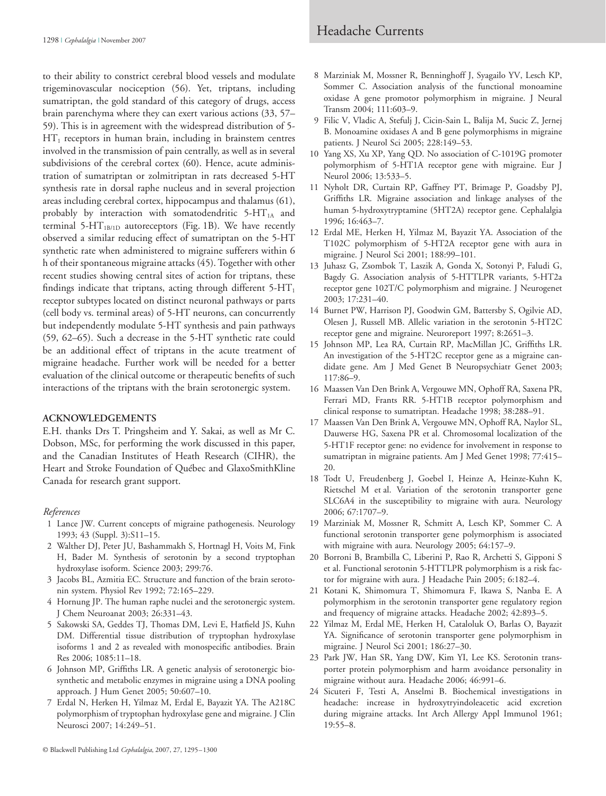to their ability to constrict cerebral blood vessels and modulate trigeminovascular nociception (56). Yet, triptans, including sumatriptan, the gold standard of this category of drugs, access brain parenchyma where they can exert various actions (33, 57– 59). This is in agreement with the widespread distribution of 5-  $HT_1$  receptors in human brain, including in brainstem centres involved in the transmission of pain centrally, as well as in several subdivisions of the cerebral cortex (60). Hence, acute administration of sumatriptan or zolmitriptan in rats decreased 5-HT synthesis rate in dorsal raphe nucleus and in several projection areas including cerebral cortex, hippocampus and thalamus (61), probably by interaction with somatodendritic  $5-HT<sub>1A</sub>$  and terminal 5- $HT_{1B/1D}$  autoreceptors (Fig. 1B). We have recently observed a similar reducing effect of sumatriptan on the 5-HT synthetic rate when administered to migraine sufferers within 6 h of their spontaneous migraine attacks (45). Together with other recent studies showing central sites of action for triptans, these findings indicate that triptans, acting through different  $5-HT_1$ receptor subtypes located on distinct neuronal pathways or parts (cell body vs. terminal areas) of 5-HT neurons, can concurrently but independently modulate 5-HT synthesis and pain pathways (59, 62–65). Such a decrease in the 5-HT synthetic rate could be an additional effect of triptans in the acute treatment of migraine headache. Further work will be needed for a better evaluation of the clinical outcome or therapeutic benefits of such interactions of the triptans with the brain serotonergic system.

#### **ACKNOWLEDGEMENTS**

E.H. thanks Drs T. Pringsheim and Y. Sakai, as well as Mr C. Dobson, MSc, for performing the work discussed in this paper, and the Canadian Institutes of Heath Research (CIHR), the Heart and Stroke Foundation of Québec and GlaxoSmithKline Canada for research grant support.

#### *References*

- 1 Lance JW. Current concepts of migraine pathogenesis. Neurology 1993; 43 (Suppl. 3):S11–15.
- 2 Walther DJ, Peter JU, Bashammakh S, Hortnagl H, Voits M, Fink H, Bader M. Synthesis of serotonin by a second tryptophan hydroxylase isoform. Science 2003; 299:76.
- 3 Jacobs BL, Azmitia EC. Structure and function of the brain serotonin system. Physiol Rev 1992; 72:165–229.
- 4 Hornung JP. The human raphe nuclei and the serotonergic system. J Chem Neuroanat 2003; 26:331–43.
- 5 Sakowski SA, Geddes TJ, Thomas DM, Levi E, Hatfield JS, Kuhn DM. Differential tissue distribution of tryptophan hydroxylase isoforms 1 and 2 as revealed with monospecific antibodies. Brain Res 2006; 1085:11–18.
- 6 Johnson MP, Griffiths LR. A genetic analysis of serotonergic biosynthetic and metabolic enzymes in migraine using a DNA pooling approach. J Hum Genet 2005; 50:607–10.
- 7 Erdal N, Herken H, Yilmaz M, Erdal E, Bayazit YA. The A218C polymorphism of tryptophan hydroxylase gene and migraine. J Clin Neurosci 2007; 14:249–51.
- 8 Marziniak M, Mossner R, Benninghoff J, Syagailo YV, Lesch KP, Sommer C. Association analysis of the functional monoamine oxidase A gene promotor polymorphism in migraine. J Neural Transm 2004; 111:603–9.
- 9 Filic V, Vladic A, Stefulj J, Cicin-Sain L, Balija M, Sucic Z, Jernej B. Monoamine oxidases A and B gene polymorphisms in migraine patients. J Neurol Sci 2005; 228:149–53.
- 10 Yang XS, Xu XP, Yang QD. No association of C-1019G promoter polymorphism of 5-HT1A receptor gene with migraine. Eur J Neurol 2006; 13:533–5.
- 11 Nyholt DR, Curtain RP, Gaffney PT, Brimage P, Goadsby PJ, Griffiths LR. Migraine association and linkage analyses of the human 5-hydroxytryptamine (5HT2A) receptor gene. Cephalalgia 1996; 16:463–7.
- 12 Erdal ME, Herken H, Yilmaz M, Bayazit YA. Association of the T102C polymorphism of 5-HT2A receptor gene with aura in migraine. J Neurol Sci 2001; 188:99–101.
- 13 Juhasz G, Zsombok T, Laszik A, Gonda X, Sotonyi P, Faludi G, Bagdy G. Association analysis of 5-HTTLPR variants, 5-HT2a receptor gene 102T/C polymorphism and migraine. J Neurogenet 2003; 17:231–40.
- 14 Burnet PW, Harrison PJ, Goodwin GM, Battersby S, Ogilvie AD, Olesen J, Russell MB. Allelic variation in the serotonin 5-HT2C receptor gene and migraine. Neuroreport 1997; 8:2651–3.
- 15 Johnson MP, Lea RA, Curtain RP, MacMillan JC, Griffiths LR. An investigation of the 5-HT2C receptor gene as a migraine candidate gene. Am J Med Genet B Neuropsychiatr Genet 2003; 117:86–9.
- 16 Maassen Van Den Brink A, Vergouwe MN, Ophoff RA, Saxena PR, Ferrari MD, Frants RR. 5-HT1B receptor polymorphism and clinical response to sumatriptan. Headache 1998; 38:288–91.
- 17 Maassen Van Den Brink A, Vergouwe MN, Ophoff RA, Naylor SL, Dauwerse HG, Saxena PR et al. Chromosomal localization of the 5-HT1F receptor gene: no evidence for involvement in response to sumatriptan in migraine patients. Am J Med Genet 1998; 77:415– 20.
- 18 Todt U, Freudenberg J, Goebel I, Heinze A, Heinze-Kuhn K, Rietschel M et al. Variation of the serotonin transporter gene SLC6A4 in the susceptibility to migraine with aura. Neurology 2006; 67:1707–9.
- 19 Marziniak M, Mossner R, Schmitt A, Lesch KP, Sommer C. A functional serotonin transporter gene polymorphism is associated with migraine with aura. Neurology 2005; 64:157–9.
- 20 Borroni B, Brambilla C, Liberini P, Rao R, Archetti S, Gipponi S et al. Functional serotonin 5-HTTLPR polymorphism is a risk factor for migraine with aura. J Headache Pain 2005; 6:182–4.
- 21 Kotani K, Shimomura T, Shimomura F, Ikawa S, Nanba E. A polymorphism in the serotonin transporter gene regulatory region and frequency of migraine attacks. Headache 2002; 42:893–5.
- 22 Yilmaz M, Erdal ME, Herken H, Cataloluk O, Barlas O, Bayazit YA. Significance of serotonin transporter gene polymorphism in migraine. J Neurol Sci 2001; 186:27–30.
- 23 Park JW, Han SR, Yang DW, Kim YI, Lee KS. Serotonin transporter protein polymorphism and harm avoidance personality in migraine without aura. Headache 2006; 46:991–6.
- 24 Sicuteri F, Testi A, Anselmi B. Biochemical investigations in headache: increase in hydroxytryindoleacetic acid excretion during migraine attacks. Int Arch Allergy Appl Immunol 1961; 19:55–8.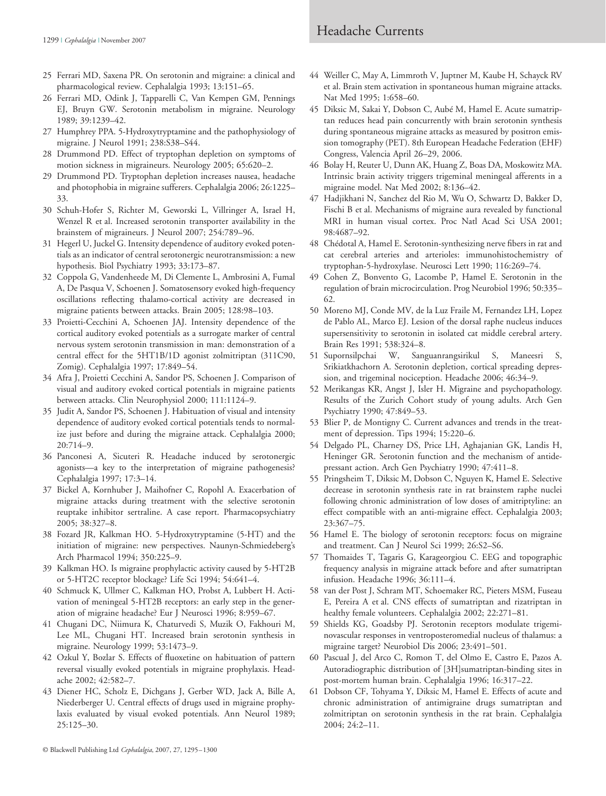## Headache Currents

- 25 Ferrari MD, Saxena PR. On serotonin and migraine: a clinical and pharmacological review. Cephalalgia 1993; 13:151–65.
- 26 Ferrari MD, Odink J, Tapparelli C, Van Kempen GM, Pennings EJ, Bruyn GW. Serotonin metabolism in migraine. Neurology 1989; 39:1239–42.
- 27 Humphrey PPA. 5-Hydroxytryptamine and the pathophysiology of migraine. J Neurol 1991; 238:S38–S44.
- 28 Drummond PD. Effect of tryptophan depletion on symptoms of motion sickness in migraineurs. Neurology 2005; 65:620–2.
- 29 Drummond PD. Tryptophan depletion increases nausea, headache and photophobia in migraine sufferers. Cephalalgia 2006; 26:1225– 33.
- 30 Schuh-Hofer S, Richter M, Geworski L, Villringer A, Israel H, Wenzel R et al. Increased serotonin transporter availability in the brainstem of migraineurs. J Neurol 2007; 254:789–96.
- 31 Hegerl U, Juckel G. Intensity dependence of auditory evoked potentials as an indicator of central serotonergic neurotransmission: a new hypothesis. Biol Psychiatry 1993; 33:173–87.
- 32 Coppola G, Vandenheede M, Di Clemente L, Ambrosini A, Fumal A, De Pasqua V, Schoenen J. Somatosensory evoked high-frequency oscillations reflecting thalamo-cortical activity are decreased in migraine patients between attacks. Brain 2005; 128:98–103.
- 33 Proietti-Cecchini A, Schoenen JAJ. Intensity dependence of the cortical auditory evoked potentials as a surrogate marker of central nervous system serotonin transmission in man: demonstration of a central effect for the 5HT1B/1D agonist zolmitriptan (311C90, Zomig). Cephalalgia 1997; 17:849–54.
- 34 Afra J, Proietti Cecchini A, Sandor PS, Schoenen J. Comparison of visual and auditory evoked cortical potentials in migraine patients between attacks. Clin Neurophysiol 2000; 111:1124–9.
- 35 Judit A, Sandor PS, Schoenen J. Habituation of visual and intensity dependence of auditory evoked cortical potentials tends to normalize just before and during the migraine attack. Cephalalgia 2000; 20:714–9.
- 36 Panconesi A, Sicuteri R. Headache induced by serotonergic agonists—a key to the interpretation of migraine pathogenesis? Cephalalgia 1997; 17:3–14.
- 37 Bickel A, Kornhuber J, Maihofner C, Ropohl A. Exacerbation of migraine attacks during treatment with the selective serotonin reuptake inhibitor sertraline. A case report. Pharmacopsychiatry 2005; 38:327–8.
- 38 Fozard JR, Kalkman HO. 5-Hydroxytryptamine (5-HT) and the initiation of migraine: new perspectives. Naunyn-Schmiedeberg's Arch Pharmacol 1994; 350:225–9.
- 39 Kalkman HO. Is migraine prophylactic activity caused by 5-HT2B or 5-HT2C receptor blockage? Life Sci 1994; 54:641–4.
- 40 Schmuck K, Ullmer C, Kalkman HO, Probst A, Lubbert H. Activation of meningeal 5-HT2B receptors: an early step in the generation of migraine headache? Eur J Neurosci 1996; 8:959–67.
- 41 Chugani DC, Niimura K, Chaturvedi S, Muzik O, Fakhouri M, Lee ML, Chugani HT. Increased brain serotonin synthesis in migraine. Neurology 1999; 53:1473–9.
- 42 Ozkul Y, Bozlar S. Effects of fluoxetine on habituation of pattern reversal visually evoked potentials in migraine prophylaxis. Headache 2002; 42:582–7.
- 43 Diener HC, Scholz E, Dichgans J, Gerber WD, Jack A, Bille A, Niederberger U. Central effects of drugs used in migraine prophylaxis evaluated by visual evoked potentials. Ann Neurol 1989; 25:125–30.
- 44 Weiller C, May A, Limmroth V, Juptner M, Kaube H, Schayck RV et al. Brain stem activation in spontaneous human migraine attacks. Nat Med 1995; 1:658–60.
- 45 Diksic M, Sakai Y, Dobson C, Aubé M, Hamel E. Acute sumatriptan reduces head pain concurrently with brain serotonin synthesis during spontaneous migraine attacks as measured by positron emission tomography (PET). 8th European Headache Federation (EHF) Congress, Valencia April 26–29, 2006.
- 46 Bolay H, Reuter U, Dunn AK, Huang Z, Boas DA, Moskowitz MA. Intrinsic brain activity triggers trigeminal meningeal afferents in a migraine model. Nat Med 2002; 8:136–42.
- 47 Hadjikhani N, Sanchez del Rio M, Wu O, Schwartz D, Bakker D, Fischi B et al. Mechanisms of migraine aura revealed by functional MRI in human visual cortex. Proc Natl Acad Sci USA 2001; 98:4687–92.
- 48 Chédotal A, Hamel E. Serotonin-synthesizing nerve fibers in rat and cat cerebral arteries and arterioles: immunohistochemistry of tryptophan-5-hydroxylase. Neurosci Lett 1990; 116:269–74.
- 49 Cohen Z, Bonvento G, Lacombe P, Hamel E. Serotonin in the regulation of brain microcirculation. Prog Neurobiol 1996; 50:335– 62.
- 50 Moreno MJ, Conde MV, de la Luz Fraile M, Fernandez LH, Lopez de Pablo AL, Marco EJ. Lesion of the dorsal raphe nucleus induces supersensitivity to serotonin in isolated cat middle cerebral artery. Brain Res 1991; 538:324–8.
- 51 Supornsilpchai W, Sanguanrangsirikul S, Maneesri S, Srikiatkhachorn A. Serotonin depletion, cortical spreading depression, and trigeminal nociception. Headache 2006; 46:34–9.
- 52 Merikangas KR, Angst J, Isler H. Migraine and psychopathology. Results of the Zurich Cohort study of young adults. Arch Gen Psychiatry 1990; 47:849–53.
- 53 Blier P, de Montigny C. Current advances and trends in the treatment of depression. Tips 1994; 15:220–6.
- 54 Delgado PL, Charney DS, Price LH, Aghajanian GK, Landis H, Heninger GR. Serotonin function and the mechanism of antidepressant action. Arch Gen Psychiatry 1990; 47:411–8.
- 55 Pringsheim T, Diksic M, Dobson C, Nguyen K, Hamel E. Selective decrease in serotonin synthesis rate in rat brainstem raphe nuclei following chronic administration of low doses of amitriptyline: an effect compatible with an anti-migraine effect. Cephalalgia 2003; 23:367–75.
- 56 Hamel E. The biology of serotonin receptors: focus on migraine and treatment. Can J Neurol Sci 1999; 26:S2–S6.
- 57 Thomaides T, Tagaris G, Karageorgiou C. EEG and topographic frequency analysis in migraine attack before and after sumatriptan infusion. Headache 1996; 36:111–4.
- 58 van der Post J, Schram MT, Schoemaker RC, Pieters MSM, Fuseau E, Pereira A et al. CNS effects of sumatriptan and rizatriptan in healthy female volunteers. Cephalalgia 2002; 22:271–81.
- 59 Shields KG, Goadsby PJ. Serotonin receptors modulate trigeminovascular responses in ventroposteromedial nucleus of thalamus: a migraine target? Neurobiol Dis 2006; 23:491–501.
- 60 Pascual J, del Arco C, Romon T, del Olmo E, Castro E, Pazos A. Autoradiographic distribution of [3H]sumatriptan-binding sites in post-mortem human brain. Cephalalgia 1996; 16:317–22.
- 61 Dobson CF, Tohyama Y, Diksic M, Hamel E. Effects of acute and chronic administration of antimigraine drugs sumatriptan and zolmitriptan on serotonin synthesis in the rat brain. Cephalalgia 2004; 24:2–11.